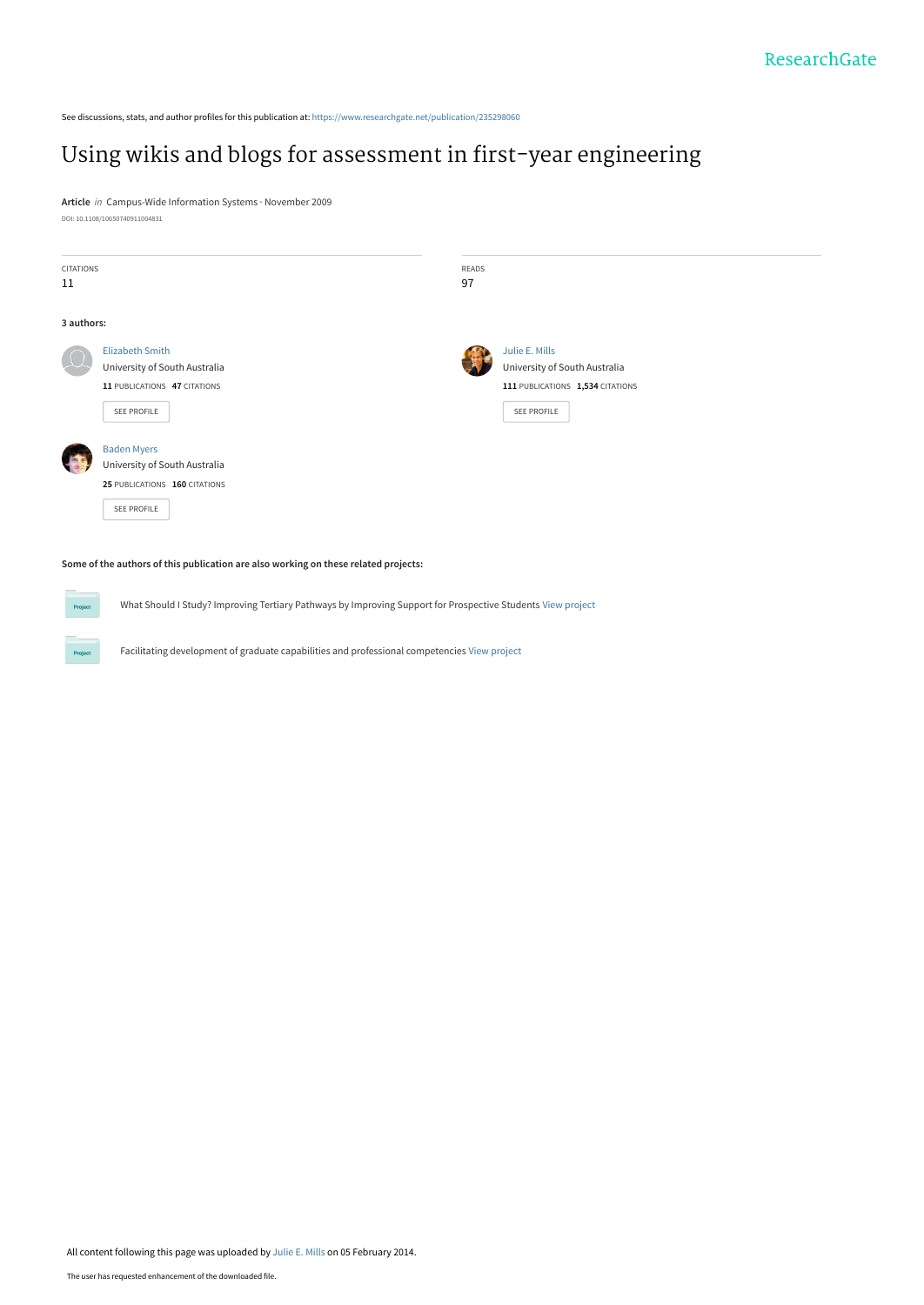See discussions, stats, and author profiles for this publication at: [https://www.researchgate.net/publication/235298060](https://www.researchgate.net/publication/235298060_Using_wikis_and_blogs_for_assessment_in_first-year_engineering?enrichId=rgreq-73fc01f357e08c6abdc95b95803270a1-XXX&enrichSource=Y292ZXJQYWdlOzIzNTI5ODA2MDtBUzoxMDM1MTk4MDU3NzE3ODVAMTQwMTY5MjQ1MzYzMg%3D%3D&el=1_x_2&_esc=publicationCoverPdf)

# [Using wikis and blogs for assessment in first-year engineering](https://www.researchgate.net/publication/235298060_Using_wikis_and_blogs_for_assessment_in_first-year_engineering?enrichId=rgreq-73fc01f357e08c6abdc95b95803270a1-XXX&enrichSource=Y292ZXJQYWdlOzIzNTI5ODA2MDtBUzoxMDM1MTk4MDU3NzE3ODVAMTQwMTY5MjQ1MzYzMg%3D%3D&el=1_x_3&_esc=publicationCoverPdf)

**Article** in Campus-Wide Information Systems · November 2009 DOI: 10.1108/10650740911004831

| <b>CITATIONS</b><br>11 |                                                                                                        | READS<br>97 |                                                                                                    |
|------------------------|--------------------------------------------------------------------------------------------------------|-------------|----------------------------------------------------------------------------------------------------|
| 3 authors:             |                                                                                                        |             |                                                                                                    |
|                        | <b>Elizabeth Smith</b><br>University of South Australia<br>11 PUBLICATIONS 47 CITATIONS<br>SEE PROFILE |             | Julie E. Mills<br>University of South Australia<br>111 PUBLICATIONS 1,534 CITATIONS<br>SEE PROFILE |
|                        | <b>Baden Myers</b><br>University of South Australia<br>25 PUBLICATIONS 160 CITATIONS<br>SEE PROFILE    |             |                                                                                                    |

#### **Some of the authors of this publication are also working on these related projects:**

Proj

What Should I Study? Improving Tertiary Pathways by Improving Support for Prospective Students [View project](https://www.researchgate.net/project/What-Should-I-Study-Improving-Tertiary-Pathways-by-Improving-Support-for-Prospective-Students?enrichId=rgreq-73fc01f357e08c6abdc95b95803270a1-XXX&enrichSource=Y292ZXJQYWdlOzIzNTI5ODA2MDtBUzoxMDM1MTk4MDU3NzE3ODVAMTQwMTY5MjQ1MzYzMg%3D%3D&el=1_x_9&_esc=publicationCoverPdf)

Facilitating development of graduate capabilities and professional competencies [View project](https://www.researchgate.net/project/Facilitating-development-of-graduate-capabilities-and-professional-competencies?enrichId=rgreq-73fc01f357e08c6abdc95b95803270a1-XXX&enrichSource=Y292ZXJQYWdlOzIzNTI5ODA2MDtBUzoxMDM1MTk4MDU3NzE3ODVAMTQwMTY5MjQ1MzYzMg%3D%3D&el=1_x_9&_esc=publicationCoverPdf)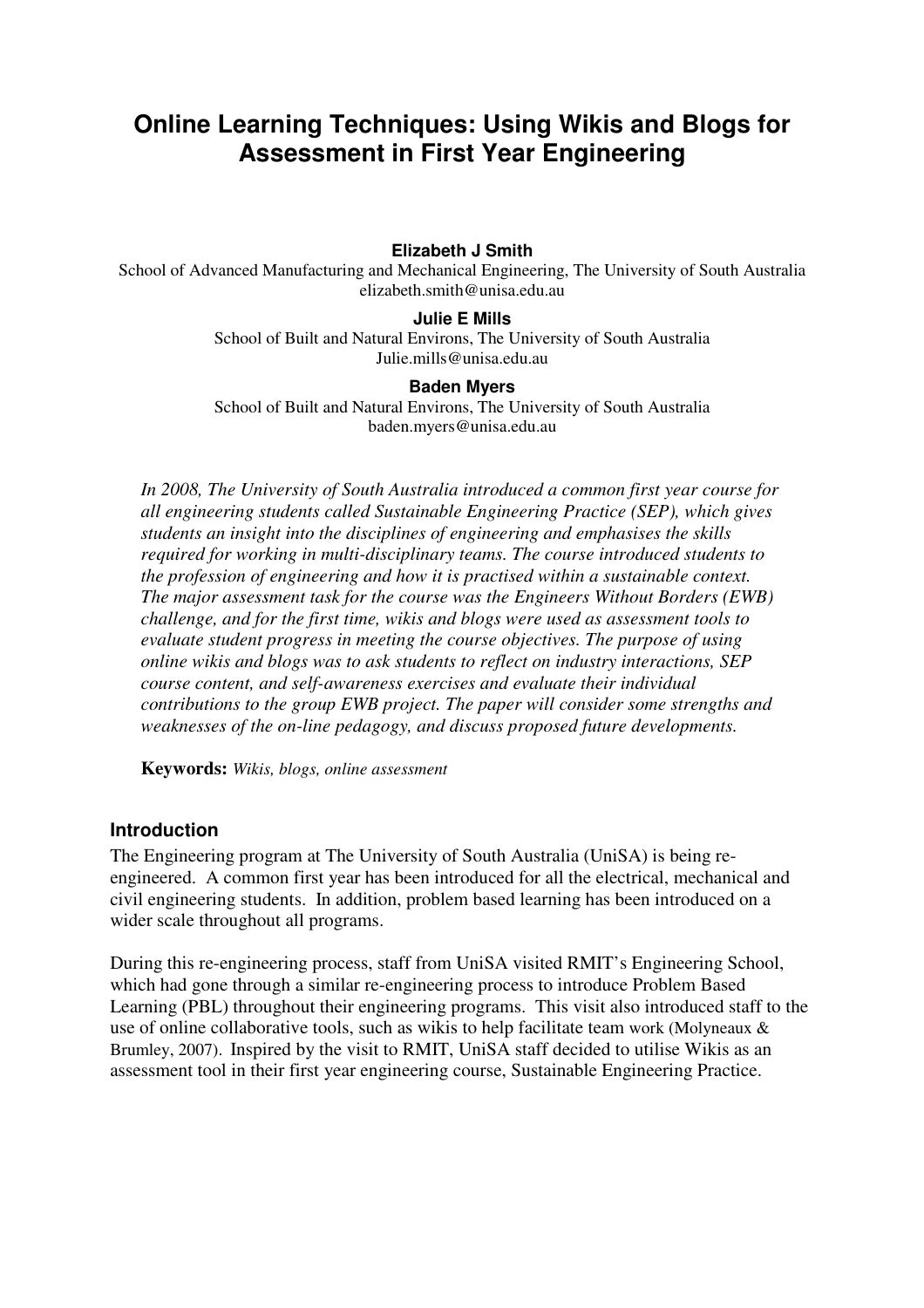# **Online Learning Techniques: Using Wikis and Blogs for Assessment in First Year Engineering**

**Elizabeth J Smith** 

School of Advanced Manufacturing and Mechanical Engineering, The University of South Australia elizabeth.smith@unisa.edu.au

#### **Julie E Mills**

School of Built and Natural Environs, The University of South Australia Julie.mills@unisa.edu.au

#### **Baden Myers**

School of Built and Natural Environs, The University of South Australia baden.myers@unisa.edu.au

*In 2008, The University of South Australia introduced a common first year course for all engineering students called Sustainable Engineering Practice (SEP), which gives students an insight into the disciplines of engineering and emphasises the skills required for working in multi-disciplinary teams. The course introduced students to the profession of engineering and how it is practised within a sustainable context. The major assessment task for the course was the Engineers Without Borders (EWB) challenge, and for the first time, wikis and blogs were used as assessment tools to evaluate student progress in meeting the course objectives. The purpose of using online wikis and blogs was to ask students to reflect on industry interactions, SEP course content, and self-awareness exercises and evaluate their individual contributions to the group EWB project. The paper will consider some strengths and weaknesses of the on-line pedagogy, and discuss proposed future developments.* 

**Keywords:** *Wikis, blogs, online assessment*

### **Introduction**

The Engineering program at The University of South Australia (UniSA) is being reengineered. A common first year has been introduced for all the electrical, mechanical and civil engineering students. In addition, problem based learning has been introduced on a wider scale throughout all programs.

During this re-engineering process, staff from UniSA visited RMIT's Engineering School, which had gone through a similar re-engineering process to introduce Problem Based Learning (PBL) throughout their engineering programs. This visit also introduced staff to the use of online collaborative tools, such as wikis to help facilitate team work (Molyneaux & Brumley, 2007). Inspired by the visit to RMIT, UniSA staff decided to utilise Wikis as an assessment tool in their first year engineering course, Sustainable Engineering Practice.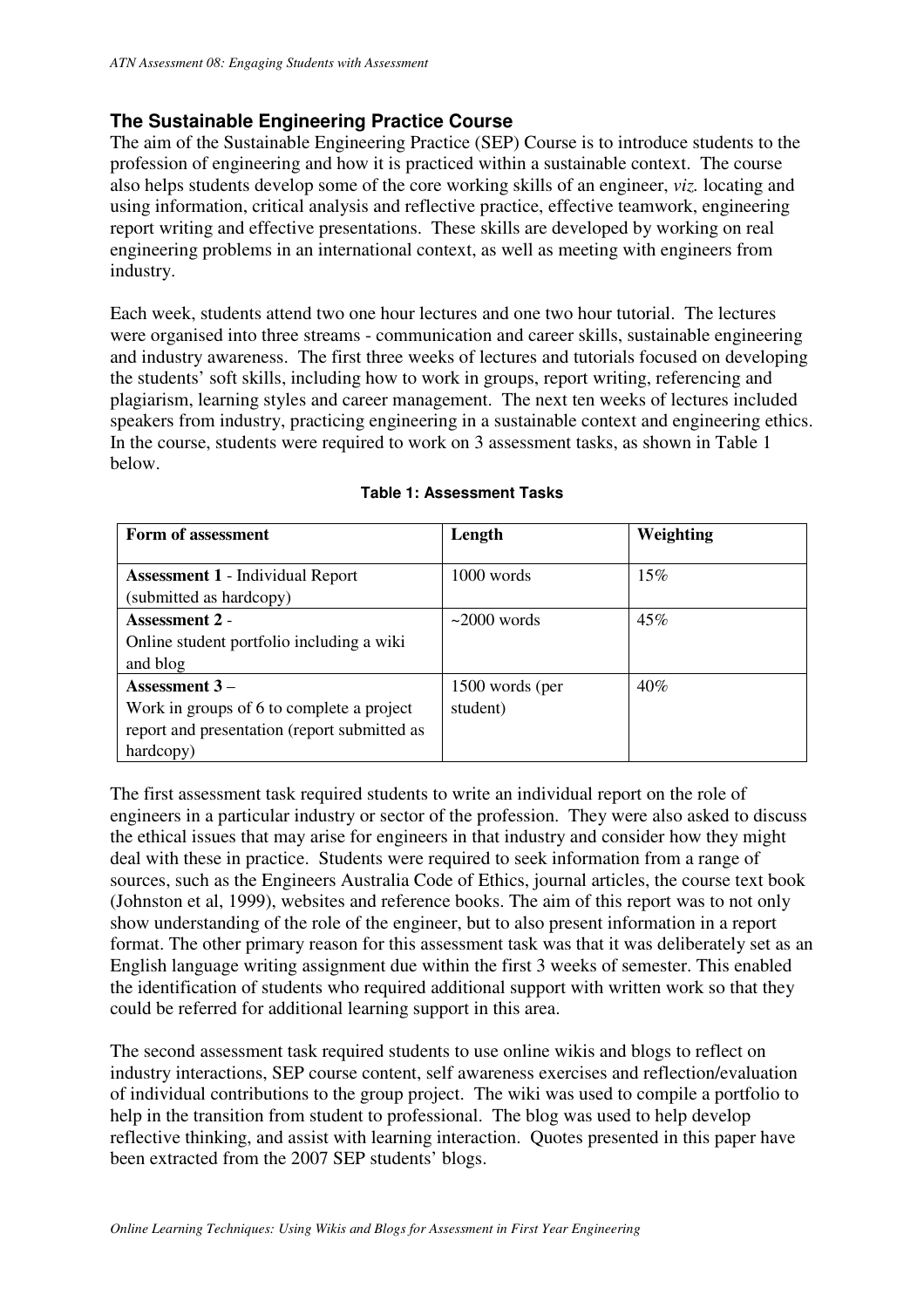# **The Sustainable Engineering Practice Course**

The aim of the Sustainable Engineering Practice (SEP) Course is to introduce students to the profession of engineering and how it is practiced within a sustainable context. The course also helps students develop some of the core working skills of an engineer, *viz.* locating and using information, critical analysis and reflective practice, effective teamwork, engineering report writing and effective presentations. These skills are developed by working on real engineering problems in an international context, as well as meeting with engineers from industry.

Each week, students attend two one hour lectures and one two hour tutorial. The lectures were organised into three streams - communication and career skills, sustainable engineering and industry awareness. The first three weeks of lectures and tutorials focused on developing the students' soft skills, including how to work in groups, report writing, referencing and plagiarism, learning styles and career management. The next ten weeks of lectures included speakers from industry, practicing engineering in a sustainable context and engineering ethics. In the course, students were required to work on 3 assessment tasks, as shown in Table 1 below.

| Form of assessment                                                                                                        | Length                      | Weighting |
|---------------------------------------------------------------------------------------------------------------------------|-----------------------------|-----------|
| <b>Assessment 1 - Individual Report</b><br>(submitted as hardcopy)                                                        | 1000 words                  | 15%       |
| Assessment 2 -<br>Online student portfolio including a wiki<br>and blog                                                   | $\sim$ 2000 words           | 45%       |
| Assessment $3-$<br>Work in groups of 6 to complete a project<br>report and presentation (report submitted as<br>hardcopy) | 1500 words (per<br>student) | $40\%$    |

### **Table 1: Assessment Tasks**

The first assessment task required students to write an individual report on the role of engineers in a particular industry or sector of the profession. They were also asked to discuss the ethical issues that may arise for engineers in that industry and consider how they might deal with these in practice. Students were required to seek information from a range of sources, such as the Engineers Australia Code of Ethics, journal articles, the course text book (Johnston et al, 1999), websites and reference books. The aim of this report was to not only show understanding of the role of the engineer, but to also present information in a report format. The other primary reason for this assessment task was that it was deliberately set as an English language writing assignment due within the first 3 weeks of semester. This enabled the identification of students who required additional support with written work so that they could be referred for additional learning support in this area.

The second assessment task required students to use online wikis and blogs to reflect on industry interactions, SEP course content, self awareness exercises and reflection/evaluation of individual contributions to the group project. The wiki was used to compile a portfolio to help in the transition from student to professional. The blog was used to help develop reflective thinking, and assist with learning interaction. Quotes presented in this paper have been extracted from the 2007 SEP students' blogs.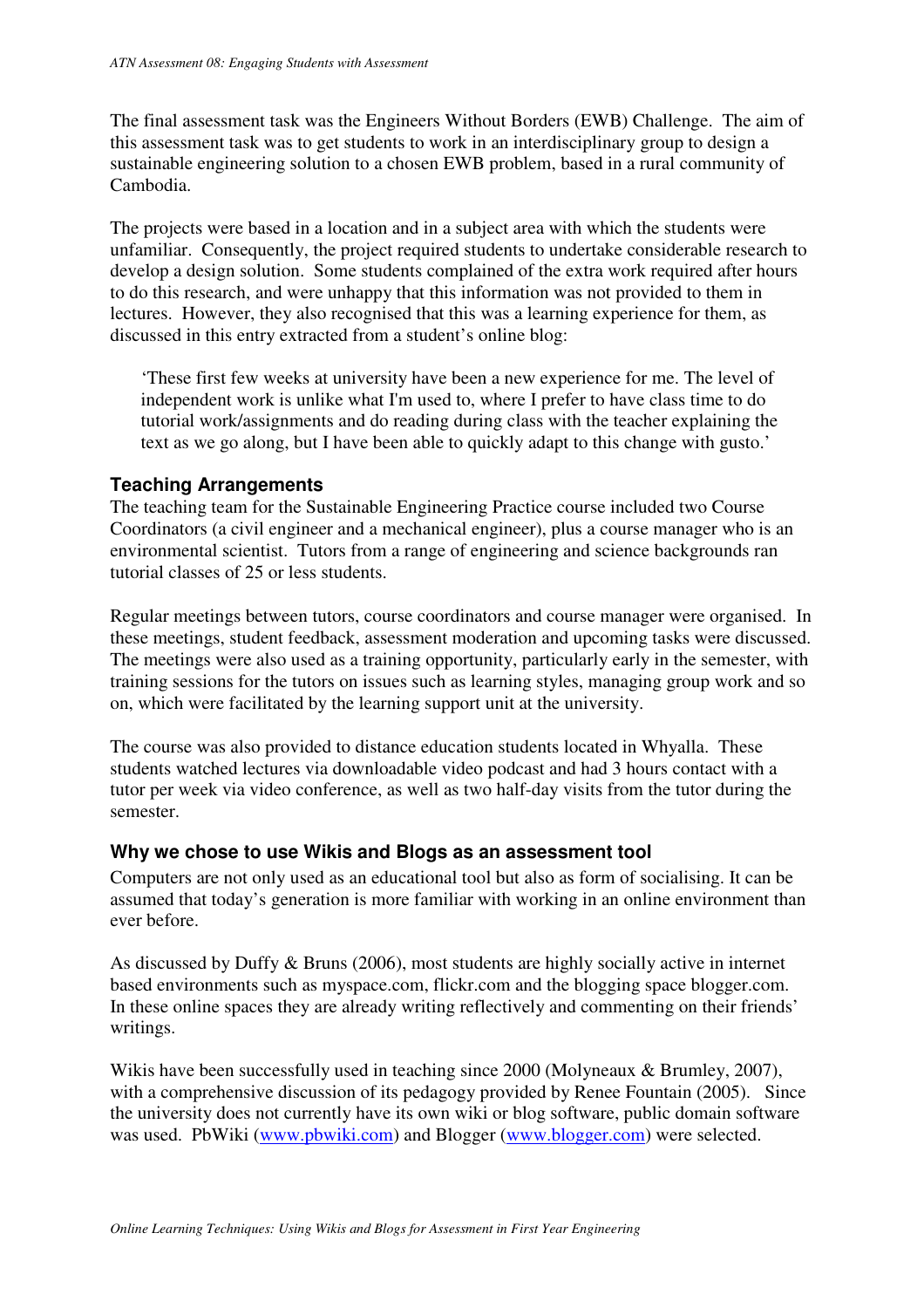The final assessment task was the Engineers Without Borders (EWB) Challenge. The aim of this assessment task was to get students to work in an interdisciplinary group to design a sustainable engineering solution to a chosen EWB problem, based in a rural community of Cambodia.

The projects were based in a location and in a subject area with which the students were unfamiliar. Consequently, the project required students to undertake considerable research to develop a design solution. Some students complained of the extra work required after hours to do this research, and were unhappy that this information was not provided to them in lectures. However, they also recognised that this was a learning experience for them, as discussed in this entry extracted from a student's online blog:

'These first few weeks at university have been a new experience for me. The level of independent work is unlike what I'm used to, where I prefer to have class time to do tutorial work/assignments and do reading during class with the teacher explaining the text as we go along, but I have been able to quickly adapt to this change with gusto.'

## **Teaching Arrangements**

The teaching team for the Sustainable Engineering Practice course included two Course Coordinators (a civil engineer and a mechanical engineer), plus a course manager who is an environmental scientist. Tutors from a range of engineering and science backgrounds ran tutorial classes of 25 or less students.

Regular meetings between tutors, course coordinators and course manager were organised. In these meetings, student feedback, assessment moderation and upcoming tasks were discussed. The meetings were also used as a training opportunity, particularly early in the semester, with training sessions for the tutors on issues such as learning styles, managing group work and so on, which were facilitated by the learning support unit at the university.

The course was also provided to distance education students located in Whyalla. These students watched lectures via downloadable video podcast and had 3 hours contact with a tutor per week via video conference, as well as two half-day visits from the tutor during the semester.

# **Why we chose to use Wikis and Blogs as an assessment tool**

Computers are not only used as an educational tool but also as form of socialising. It can be assumed that today's generation is more familiar with working in an online environment than ever before.

As discussed by Duffy & Bruns (2006), most students are highly socially active in internet based environments such as myspace.com, flickr.com and the blogging space blogger.com. In these online spaces they are already writing reflectively and commenting on their friends' writings.

Wikis have been successfully used in teaching since 2000 (Molyneaux & Brumley, 2007), with a comprehensive discussion of its pedagogy provided by Renee Fountain (2005). Since the university does not currently have its own wiki or blog software, public domain software was used. PbWiki (www.pbwiki.com) and Blogger (www.blogger.com) were selected.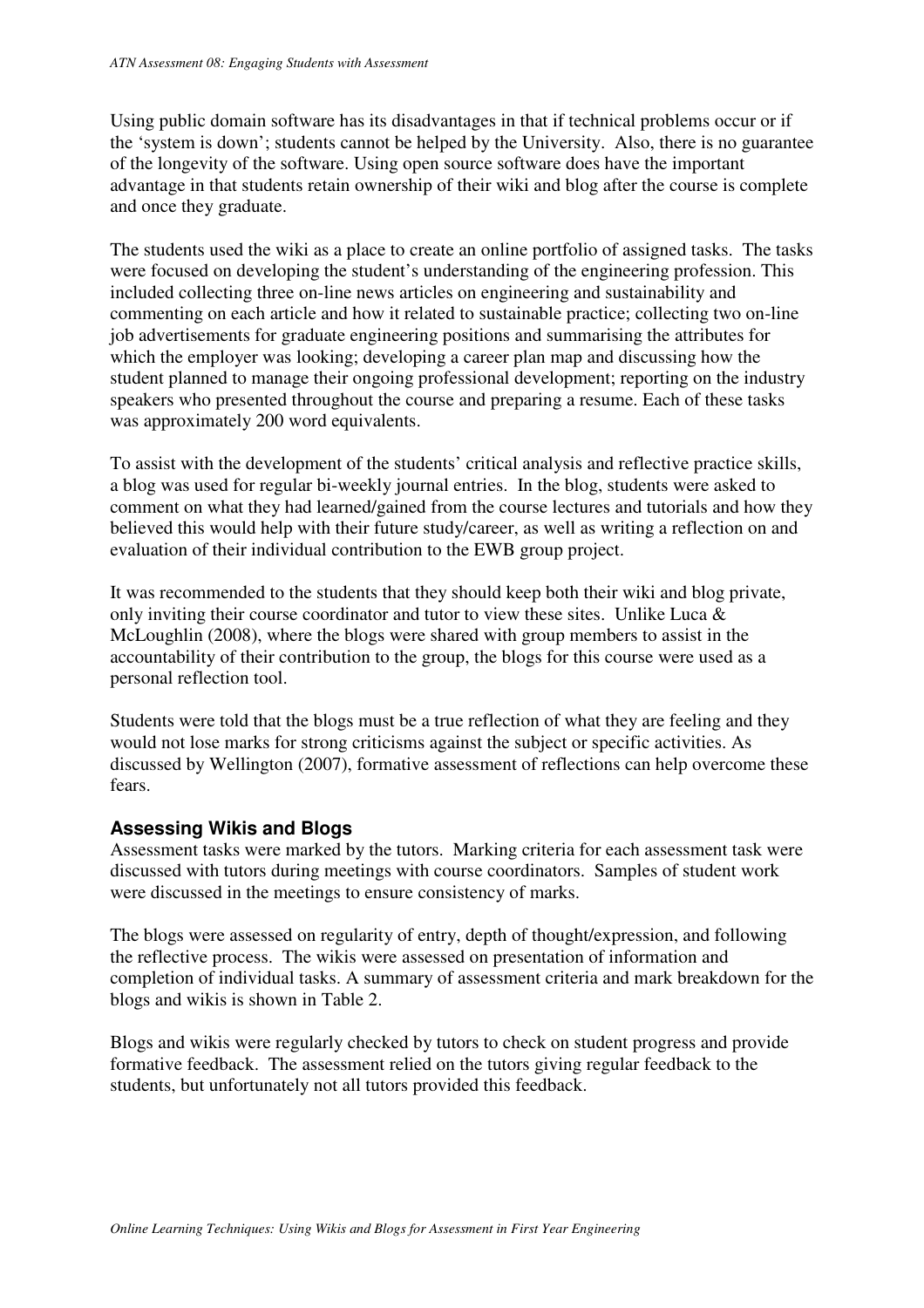Using public domain software has its disadvantages in that if technical problems occur or if the 'system is down'; students cannot be helped by the University. Also, there is no guarantee of the longevity of the software. Using open source software does have the important advantage in that students retain ownership of their wiki and blog after the course is complete and once they graduate.

The students used the wiki as a place to create an online portfolio of assigned tasks. The tasks were focused on developing the student's understanding of the engineering profession. This included collecting three on-line news articles on engineering and sustainability and commenting on each article and how it related to sustainable practice; collecting two on-line job advertisements for graduate engineering positions and summarising the attributes for which the employer was looking; developing a career plan map and discussing how the student planned to manage their ongoing professional development; reporting on the industry speakers who presented throughout the course and preparing a resume. Each of these tasks was approximately 200 word equivalents.

To assist with the development of the students' critical analysis and reflective practice skills, a blog was used for regular bi-weekly journal entries. In the blog, students were asked to comment on what they had learned/gained from the course lectures and tutorials and how they believed this would help with their future study/career, as well as writing a reflection on and evaluation of their individual contribution to the EWB group project.

It was recommended to the students that they should keep both their wiki and blog private, only inviting their course coordinator and tutor to view these sites. Unlike Luca & McLoughlin (2008), where the blogs were shared with group members to assist in the accountability of their contribution to the group, the blogs for this course were used as a personal reflection tool.

Students were told that the blogs must be a true reflection of what they are feeling and they would not lose marks for strong criticisms against the subject or specific activities. As discussed by Wellington (2007), formative assessment of reflections can help overcome these fears.

# **Assessing Wikis and Blogs**

Assessment tasks were marked by the tutors. Marking criteria for each assessment task were discussed with tutors during meetings with course coordinators. Samples of student work were discussed in the meetings to ensure consistency of marks.

The blogs were assessed on regularity of entry, depth of thought/expression, and following the reflective process. The wikis were assessed on presentation of information and completion of individual tasks. A summary of assessment criteria and mark breakdown for the blogs and wikis is shown in Table 2.

Blogs and wikis were regularly checked by tutors to check on student progress and provide formative feedback. The assessment relied on the tutors giving regular feedback to the students, but unfortunately not all tutors provided this feedback.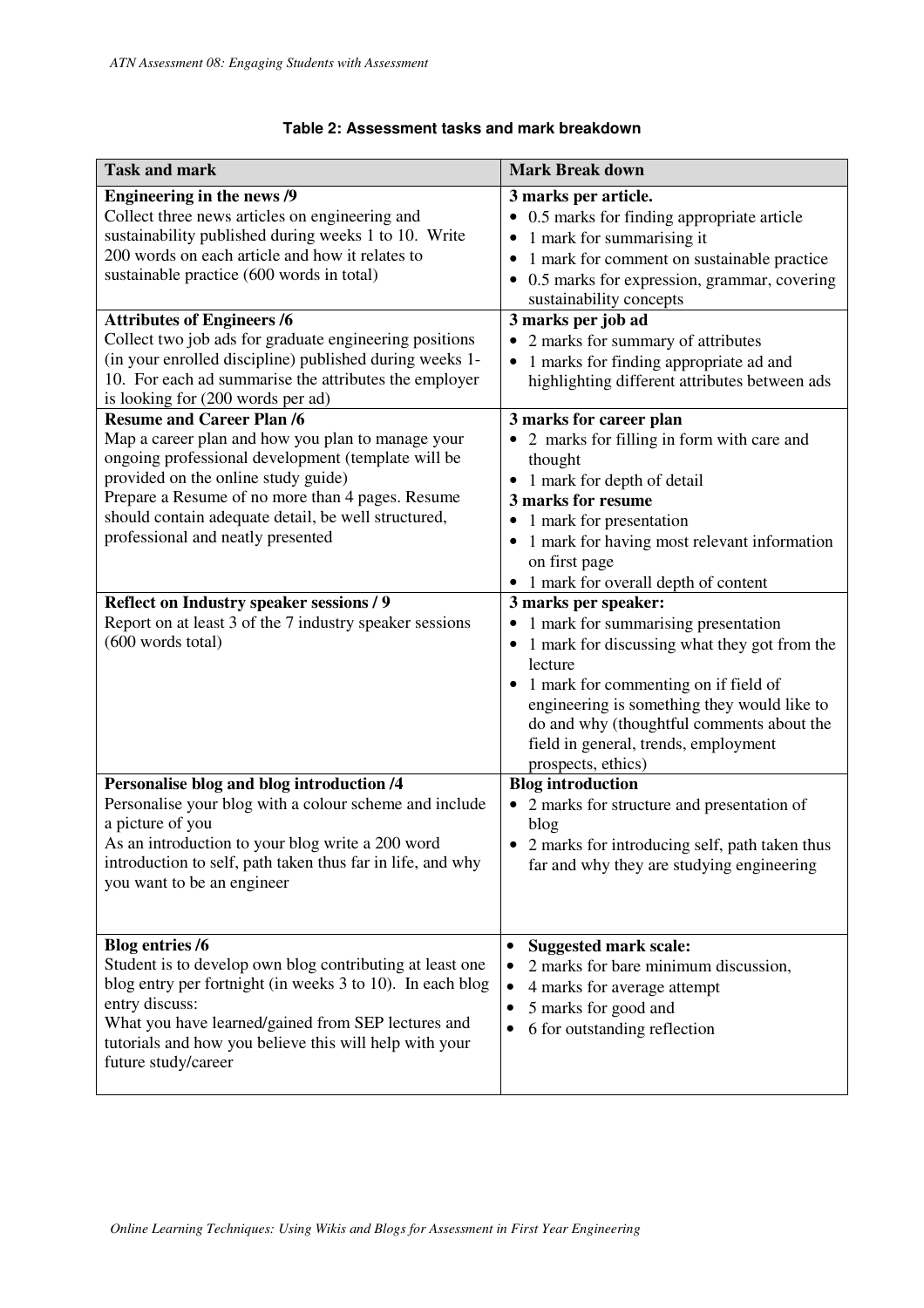## **Table 2: Assessment tasks and mark breakdown**

| <b>Task and mark</b>                                                                                                                                                                                                                                                                                                                                                                                                                                           | <b>Mark Break down</b>                                                                                                                                                                                                                                                                                                                                                                                                                                                                                                                                                                                                                                      |
|----------------------------------------------------------------------------------------------------------------------------------------------------------------------------------------------------------------------------------------------------------------------------------------------------------------------------------------------------------------------------------------------------------------------------------------------------------------|-------------------------------------------------------------------------------------------------------------------------------------------------------------------------------------------------------------------------------------------------------------------------------------------------------------------------------------------------------------------------------------------------------------------------------------------------------------------------------------------------------------------------------------------------------------------------------------------------------------------------------------------------------------|
| <b>Engineering in the news /9</b><br>Collect three news articles on engineering and<br>sustainability published during weeks 1 to 10. Write<br>200 words on each article and how it relates to<br>sustainable practice (600 words in total)                                                                                                                                                                                                                    | 3 marks per article.<br>0.5 marks for finding appropriate article<br>$\bullet$<br>1 mark for summarising it<br>1 mark for comment on sustainable practice<br>0.5 marks for expression, grammar, covering<br>sustainability concepts                                                                                                                                                                                                                                                                                                                                                                                                                         |
| <b>Attributes of Engineers /6</b><br>Collect two job ads for graduate engineering positions<br>(in your enrolled discipline) published during weeks 1-<br>10. For each ad summarise the attributes the employer<br>is looking for (200 words per ad)                                                                                                                                                                                                           | 3 marks per job ad<br>2 marks for summary of attributes<br>1 marks for finding appropriate ad and<br>$\bullet$<br>highlighting different attributes between ads                                                                                                                                                                                                                                                                                                                                                                                                                                                                                             |
| <b>Resume and Career Plan /6</b><br>Map a career plan and how you plan to manage your<br>ongoing professional development (template will be<br>provided on the online study guide)<br>Prepare a Resume of no more than 4 pages. Resume<br>should contain adequate detail, be well structured,<br>professional and neatly presented<br>Reflect on Industry speaker sessions / 9<br>Report on at least 3 of the 7 industry speaker sessions<br>(600 words total) | 3 marks for career plan<br>2 marks for filling in form with care and<br>$\bullet$<br>thought<br>• 1 mark for depth of detail<br>3 marks for resume<br>1 mark for presentation<br>$\bullet$<br>1 mark for having most relevant information<br>$\bullet$<br>on first page<br>• 1 mark for overall depth of content<br>3 marks per speaker:<br>1 mark for summarising presentation<br>$\bullet$<br>• 1 mark for discussing what they got from the<br>lecture<br>1 mark for commenting on if field of<br>engineering is something they would like to<br>do and why (thoughtful comments about the<br>field in general, trends, employment<br>prospects, ethics) |
| Personalise blog and blog introduction /4<br>Personalise your blog with a colour scheme and include<br>a picture of you<br>As an introduction to your blog write a 200 word<br>introduction to self, path taken thus far in life, and why<br>you want to be an engineer                                                                                                                                                                                        | <b>Blog</b> introduction<br>2 marks for structure and presentation of<br>$\bullet$<br>blog<br>• 2 marks for introducing self, path taken thus<br>far and why they are studying engineering                                                                                                                                                                                                                                                                                                                                                                                                                                                                  |
| <b>Blog entries /6</b><br>Student is to develop own blog contributing at least one<br>blog entry per fortnight (in weeks 3 to 10). In each blog<br>entry discuss:<br>What you have learned/gained from SEP lectures and<br>tutorials and how you believe this will help with your<br>future study/career                                                                                                                                                       | <b>Suggested mark scale:</b><br>$\bullet$<br>2 marks for bare minimum discussion,<br>$\bullet$<br>4 marks for average attempt<br>$\bullet$<br>5 marks for good and<br>$\bullet$<br>6 for outstanding reflection                                                                                                                                                                                                                                                                                                                                                                                                                                             |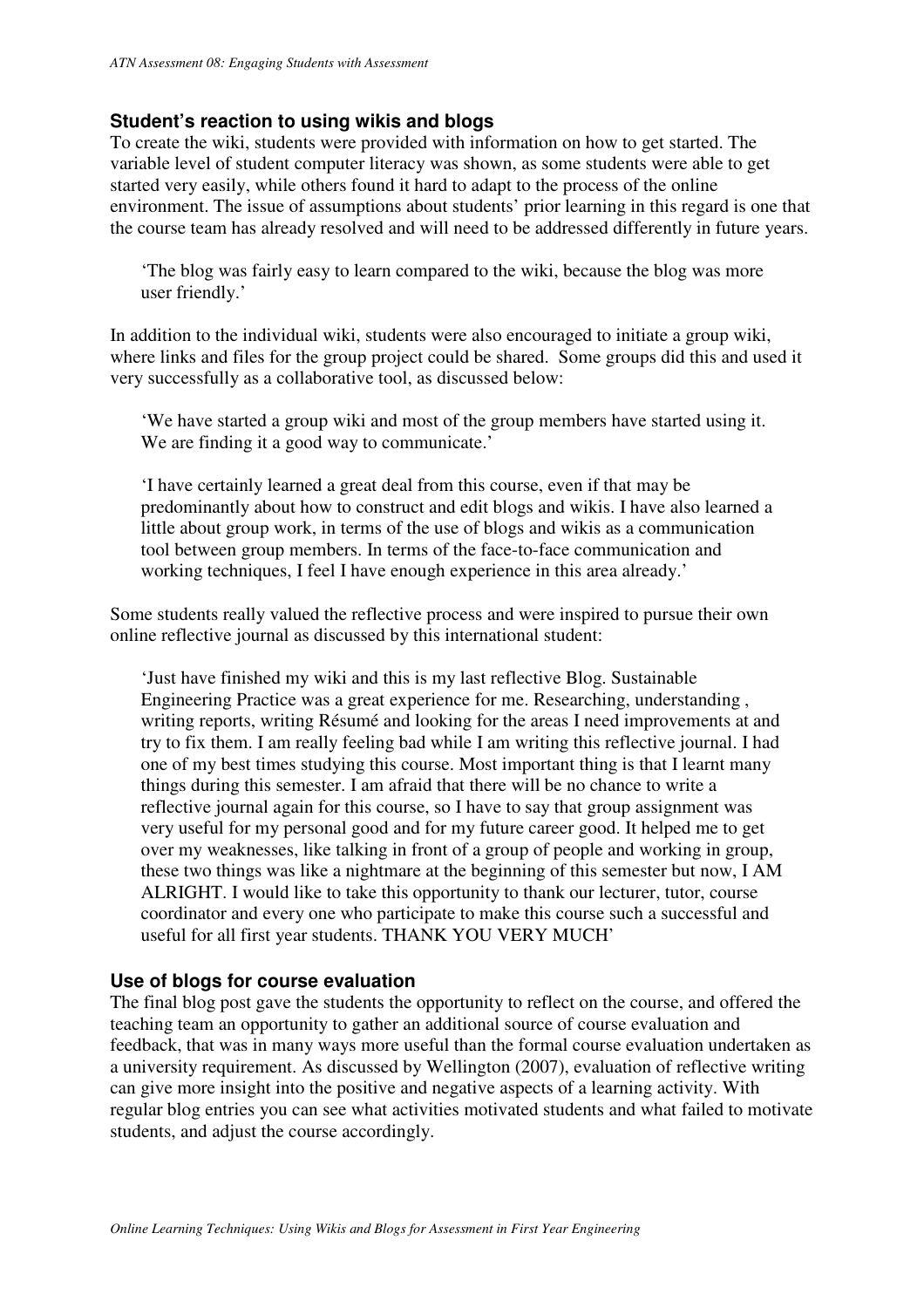# **Student's reaction to using wikis and blogs**

To create the wiki, students were provided with information on how to get started. The variable level of student computer literacy was shown, as some students were able to get started very easily, while others found it hard to adapt to the process of the online environment. The issue of assumptions about students' prior learning in this regard is one that the course team has already resolved and will need to be addressed differently in future years.

'The blog was fairly easy to learn compared to the wiki, because the blog was more user friendly.'

In addition to the individual wiki, students were also encouraged to initiate a group wiki, where links and files for the group project could be shared. Some groups did this and used it very successfully as a collaborative tool, as discussed below:

'We have started a group wiki and most of the group members have started using it. We are finding it a good way to communicate.'

'I have certainly learned a great deal from this course, even if that may be predominantly about how to construct and edit blogs and wikis. I have also learned a little about group work, in terms of the use of blogs and wikis as a communication tool between group members. In terms of the face-to-face communication and working techniques, I feel I have enough experience in this area already.'

Some students really valued the reflective process and were inspired to pursue their own online reflective journal as discussed by this international student:

'Just have finished my wiki and this is my last reflective Blog. Sustainable Engineering Practice was a great experience for me. Researching, understanding , writing reports, writing Résumé and looking for the areas I need improvements at and try to fix them. I am really feeling bad while I am writing this reflective journal. I had one of my best times studying this course. Most important thing is that I learnt many things during this semester. I am afraid that there will be no chance to write a reflective journal again for this course, so I have to say that group assignment was very useful for my personal good and for my future career good. It helped me to get over my weaknesses, like talking in front of a group of people and working in group, these two things was like a nightmare at the beginning of this semester but now, I AM ALRIGHT. I would like to take this opportunity to thank our lecturer, tutor, course coordinator and every one who participate to make this course such a successful and useful for all first year students. THANK YOU VERY MUCH'

### **Use of blogs for course evaluation**

The final blog post gave the students the opportunity to reflect on the course, and offered the teaching team an opportunity to gather an additional source of course evaluation and feedback, that was in many ways more useful than the formal course evaluation undertaken as a university requirement. As discussed by Wellington (2007), evaluation of reflective writing can give more insight into the positive and negative aspects of a learning activity. With regular blog entries you can see what activities motivated students and what failed to motivate students, and adjust the course accordingly.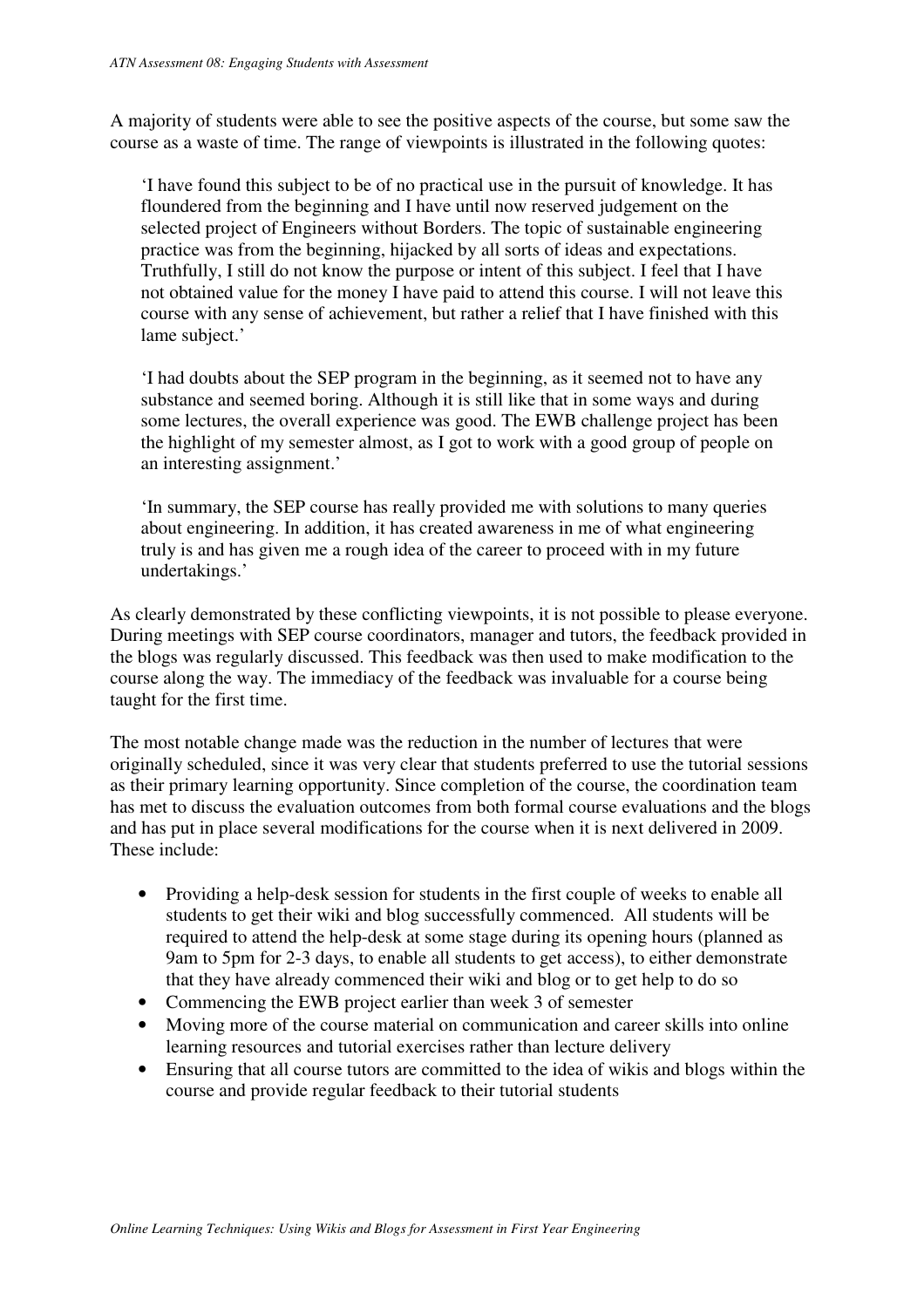A majority of students were able to see the positive aspects of the course, but some saw the course as a waste of time. The range of viewpoints is illustrated in the following quotes:

'I have found this subject to be of no practical use in the pursuit of knowledge. It has floundered from the beginning and I have until now reserved judgement on the selected project of Engineers without Borders. The topic of sustainable engineering practice was from the beginning, hijacked by all sorts of ideas and expectations. Truthfully, I still do not know the purpose or intent of this subject. I feel that I have not obtained value for the money I have paid to attend this course. I will not leave this course with any sense of achievement, but rather a relief that I have finished with this lame subject.'

'I had doubts about the SEP program in the beginning, as it seemed not to have any substance and seemed boring. Although it is still like that in some ways and during some lectures, the overall experience was good. The EWB challenge project has been the highlight of my semester almost, as I got to work with a good group of people on an interesting assignment.'

'In summary, the SEP course has really provided me with solutions to many queries about engineering. In addition, it has created awareness in me of what engineering truly is and has given me a rough idea of the career to proceed with in my future undertakings.'

As clearly demonstrated by these conflicting viewpoints, it is not possible to please everyone. During meetings with SEP course coordinators, manager and tutors, the feedback provided in the blogs was regularly discussed. This feedback was then used to make modification to the course along the way. The immediacy of the feedback was invaluable for a course being taught for the first time.

The most notable change made was the reduction in the number of lectures that were originally scheduled, since it was very clear that students preferred to use the tutorial sessions as their primary learning opportunity. Since completion of the course, the coordination team has met to discuss the evaluation outcomes from both formal course evaluations and the blogs and has put in place several modifications for the course when it is next delivered in 2009. These include:

- Providing a help-desk session for students in the first couple of weeks to enable all students to get their wiki and blog successfully commenced. All students will be required to attend the help-desk at some stage during its opening hours (planned as 9am to 5pm for 2-3 days, to enable all students to get access), to either demonstrate that they have already commenced their wiki and blog or to get help to do so
- Commencing the EWB project earlier than week 3 of semester
- Moving more of the course material on communication and career skills into online learning resources and tutorial exercises rather than lecture delivery
- Ensuring that all course tutors are committed to the idea of wikis and blogs within the course and provide regular feedback to their tutorial students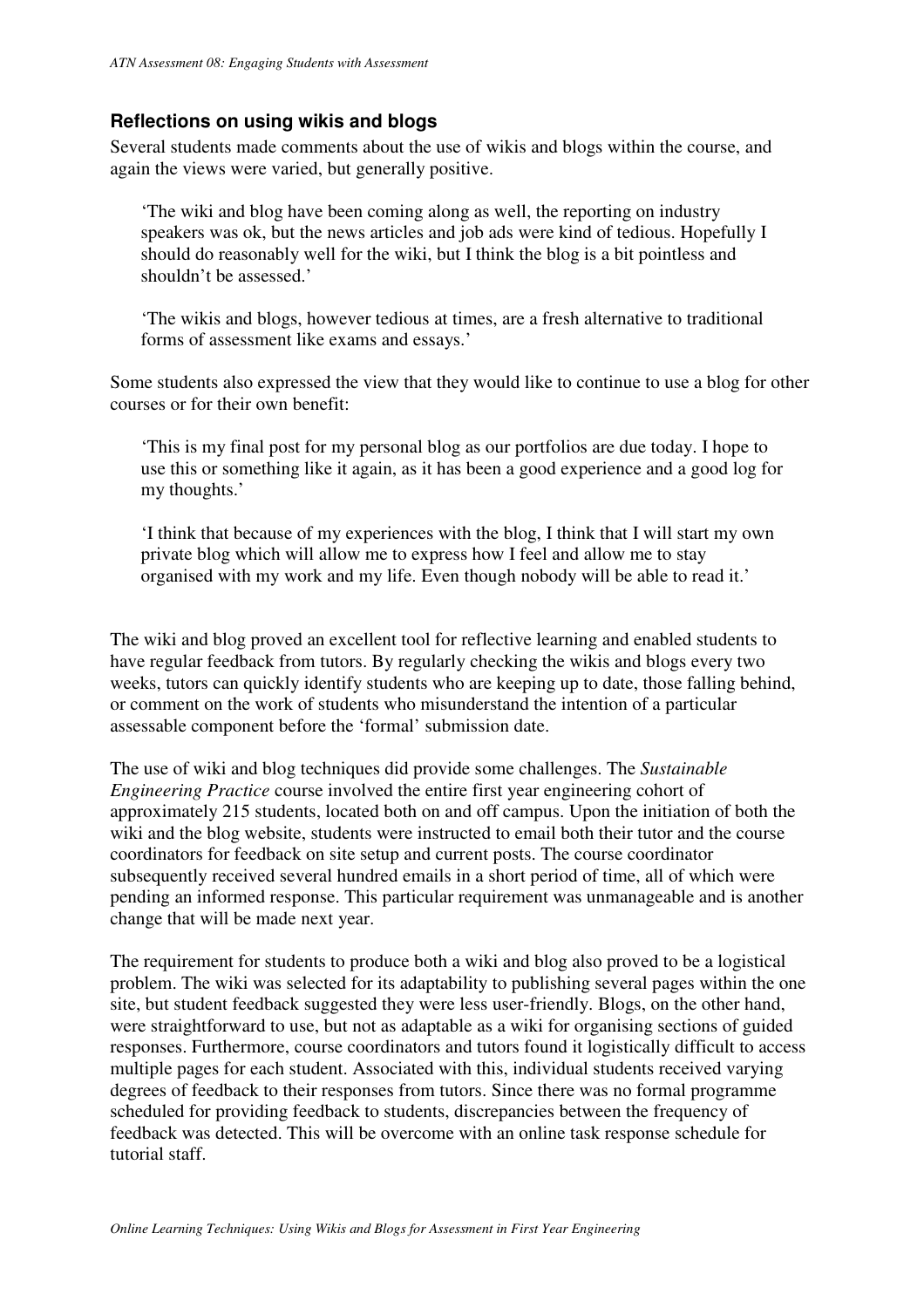# **Reflections on using wikis and blogs**

Several students made comments about the use of wikis and blogs within the course, and again the views were varied, but generally positive.

'The wiki and blog have been coming along as well, the reporting on industry speakers was ok, but the news articles and job ads were kind of tedious. Hopefully I should do reasonably well for the wiki, but I think the blog is a bit pointless and shouldn't be assessed.'

'The wikis and blogs, however tedious at times, are a fresh alternative to traditional forms of assessment like exams and essays.'

Some students also expressed the view that they would like to continue to use a blog for other courses or for their own benefit:

'This is my final post for my personal blog as our portfolios are due today. I hope to use this or something like it again, as it has been a good experience and a good log for my thoughts.'

'I think that because of my experiences with the blog, I think that I will start my own private blog which will allow me to express how I feel and allow me to stay organised with my work and my life. Even though nobody will be able to read it.'

The wiki and blog proved an excellent tool for reflective learning and enabled students to have regular feedback from tutors. By regularly checking the wikis and blogs every two weeks, tutors can quickly identify students who are keeping up to date, those falling behind, or comment on the work of students who misunderstand the intention of a particular assessable component before the 'formal' submission date.

The use of wiki and blog techniques did provide some challenges. The *Sustainable Engineering Practice* course involved the entire first year engineering cohort of approximately 215 students, located both on and off campus. Upon the initiation of both the wiki and the blog website, students were instructed to email both their tutor and the course coordinators for feedback on site setup and current posts. The course coordinator subsequently received several hundred emails in a short period of time, all of which were pending an informed response. This particular requirement was unmanageable and is another change that will be made next year.

The requirement for students to produce both a wiki and blog also proved to be a logistical problem. The wiki was selected for its adaptability to publishing several pages within the one site, but student feedback suggested they were less user-friendly. Blogs, on the other hand, were straightforward to use, but not as adaptable as a wiki for organising sections of guided responses. Furthermore, course coordinators and tutors found it logistically difficult to access multiple pages for each student. Associated with this, individual students received varying degrees of feedback to their responses from tutors. Since there was no formal programme scheduled for providing feedback to students, discrepancies between the frequency of feedback was detected. This will be overcome with an online task response schedule for tutorial staff.